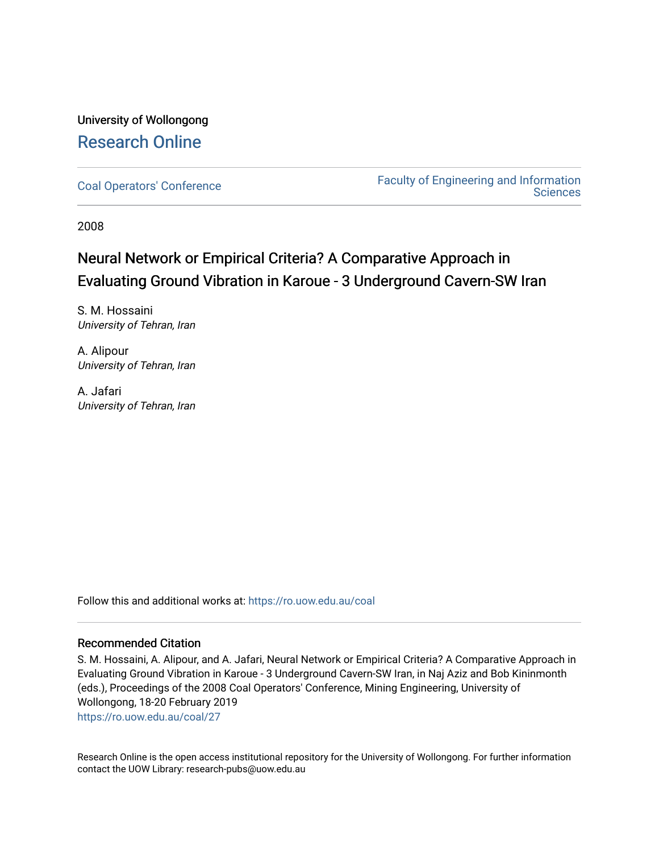# University of Wollongong [Research Online](https://ro.uow.edu.au/)

[Coal Operators' Conference](https://ro.uow.edu.au/coal) [Faculty of Engineering and Information](https://ro.uow.edu.au/eis)  **Sciences** 

2008

# Neural Network or Empirical Criteria? A Comparative Approach in Evaluating Ground Vibration in Karoue - 3 Underground Cavern-SW Iran

S. M. Hossaini University of Tehran, Iran

A. Alipour University of Tehran, Iran

A. Jafari University of Tehran, Iran

Follow this and additional works at: [https://ro.uow.edu.au/coal](https://ro.uow.edu.au/coal?utm_source=ro.uow.edu.au%2Fcoal%2F27&utm_medium=PDF&utm_campaign=PDFCoverPages) 

# Recommended Citation

S. M. Hossaini, A. Alipour, and A. Jafari, Neural Network or Empirical Criteria? A Comparative Approach in Evaluating Ground Vibration in Karoue - 3 Underground Cavern-SW Iran, in Naj Aziz and Bob Kininmonth (eds.), Proceedings of the 2008 Coal Operators' Conference, Mining Engineering, University of Wollongong, 18-20 February 2019

[https://ro.uow.edu.au/coal/27](https://ro.uow.edu.au/coal/27?utm_source=ro.uow.edu.au%2Fcoal%2F27&utm_medium=PDF&utm_campaign=PDFCoverPages) 

Research Online is the open access institutional repository for the University of Wollongong. For further information contact the UOW Library: research-pubs@uow.edu.au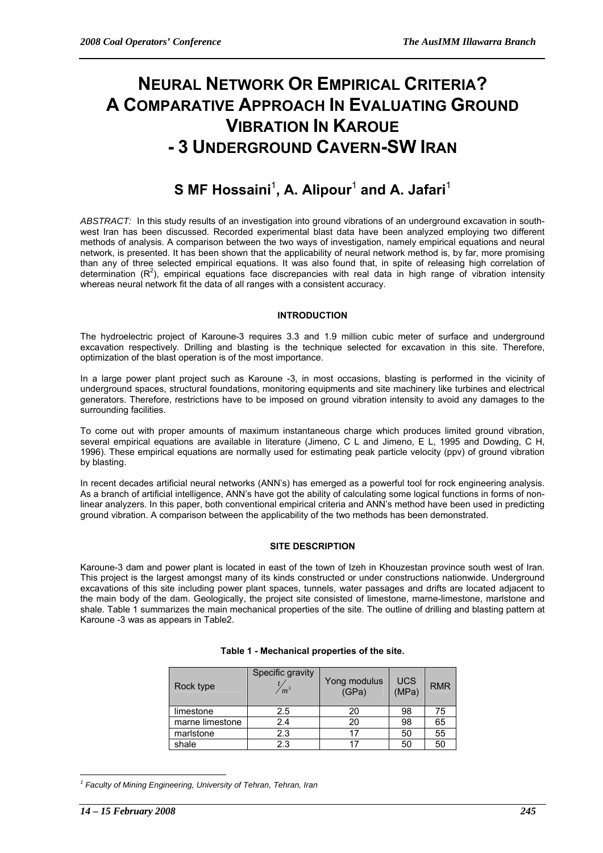# **NEURAL NETWORK OR EMPIRICAL CRITERIA? A COMPARATIVE APPROACH IN EVALUATING GROUND VIBRATION IN KAROUE - 3 UNDERGROUND CAVERN-SW IRAN**

# ${\bf S}$  MF Hossaini<sup>1</sup>, A. Alipour<sup>1</sup> and A. Jafari<sup>1</sup>

*ABSTRACT:* In this study results of an investigation into ground vibrations of an underground excavation in southwest Iran has been discussed. Recorded experimental blast data have been analyzed employing two different methods of analysis. A comparison between the two ways of investigation, namely empirical equations and neural network, is presented. It has been shown that the applicability of neural network method is, by far, more promising than any of three selected empirical equations. It was also found that, in spite of releasing high correlation of determination ( $R^2$ ), empirical equations face discrepancies with real data in high range of vibration intensity whereas neural network fit the data of all ranges with a consistent accuracy.

# **INTRODUCTION**

The hydroelectric project of Karoune-3 requires 3.3 and 1.9 million cubic meter of surface and underground excavation respectively. Drilling and blasting is the technique selected for excavation in this site. Therefore, optimization of the blast operation is of the most importance.

In a large power plant project such as Karoune -3, in most occasions, blasting is performed in the vicinity of underground spaces, structural foundations, monitoring equipments and site machinery like turbines and electrical generators. Therefore, restrictions have to be imposed on ground vibration intensity to avoid any damages to the surrounding facilities.

To come out with proper amounts of maximum instantaneous charge which produces limited ground vibration, several empirical equations are available in literature (Jimeno, C L and Jimeno, E L, 1995 and Dowding, C H, 1996). These empirical equations are normally used for estimating peak particle velocity (ppv) of ground vibration by blasting.

In recent decades artificial neural networks (ANN's) has emerged as a powerful tool for rock engineering analysis. As a branch of artificial intelligence, ANN's have got the ability of calculating some logical functions in forms of nonlinear analyzers. In this paper, both conventional empirical criteria and ANN's method have been used in predicting ground vibration. A comparison between the applicability of the two methods has been demonstrated.

# **SITE DESCRIPTION**

Karoune-3 dam and power plant is located in east of the town of Izeh in Khouzestan province south west of Iran. This project is the largest amongst many of its kinds constructed or under constructions nationwide. Underground excavations of this site including power plant spaces, tunnels, water passages and drifts are located adjacent to the main body of the dam. Geologically, the project site consisted of limestone, marne-limestone, marlstone and shale. Table 1 summarizes the main mechanical properties of the site. The outline of drilling and blasting pattern at Karoune -3 was as appears in Table2.

| Rock type       | Specific gravity<br>m <sup>3</sup> | Yong modulus<br>(GPa) | <b>UCS</b><br>(MPa) | <b>RMR</b> |
|-----------------|------------------------------------|-----------------------|---------------------|------------|
| limestone       | 2.5                                | 20                    | 98                  | 75         |
| marne limestone | 2.4                                | 20                    | 98                  | 65         |
| marlstone       | 2.3                                | 17                    | 50                  | 55         |
| shale           | 2.3                                | 17                    | 50                  | 50         |

# **Table 1 - Mechanical properties of the site.**

 $\overline{a}$ 

<sup>&</sup>lt;sup>1</sup> Faculty of Mining Engineering, University of Tehran, Tehran, Iran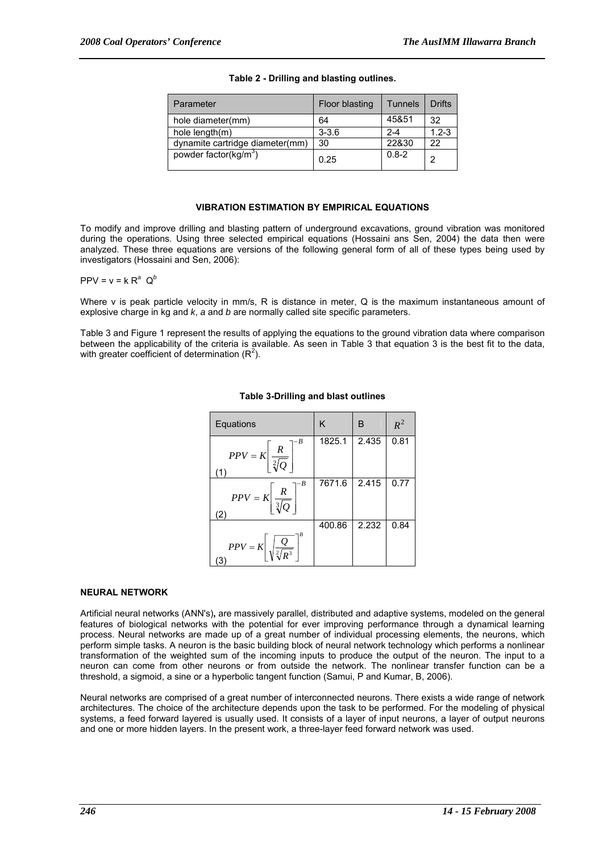| Parameter                         | Floor blasting | <b>Tunnels</b> | <b>Drifts</b> |
|-----------------------------------|----------------|----------------|---------------|
| hole diameter(mm)                 | 64             | 45&51          | 32            |
| hole length(m)                    | $3 - 3.6$      | $2 - 4$        | $1.2 - 3$     |
| dynamite cartridge diameter(mm)   | 30             | 22&30          | 22            |
| powder factor(kg/m <sup>3</sup> ) | 0.25           | $0.8 - 2$      | 2             |

# **Table 2 - Drilling and blasting outlines.**

#### **VIBRATION ESTIMATION BY EMPIRICAL EQUATIONS**

To modify and improve drilling and blasting pattern of underground excavations, ground vibration was monitored during the operations. Using three selected empirical equations (Hossaini ans Sen, 2004) the data then were analyzed. These three equations are versions of the following general form of all of these types being used by investigators (Hossaini and Sen, 2006):

 $PPV = v = k R^a Q^b$ 

Where y is peak particle velocity in mm/s, R is distance in meter. Q is the maximum instantaneous amount of explosive charge in kg and *k*, *a* and *b* are normally called site specific parameters.

Table 3 and Figure 1 represent the results of applying the equations to the ground vibration data where comparison between the applicability of the criteria is available. As seen in Table 3 that equation 3 is the best fit to the data, with greater coefficient of determination  $(R^2)$ .

| Equations                                                     | K      | B     | $R^2$ |
|---------------------------------------------------------------|--------|-------|-------|
| $PPV = K \left  \frac{R}{\sqrt[2]{Q}} \right $<br>(1)         | 1825.1 | 2.435 | 0.81  |
| B<br>$PPV = K \left  \frac{R}{\sqrt[3]{Q}} \right $<br>(2)    | 7671.6 | 2.415 | 0.77  |
| $PPV = K \left  \sqrt{\frac{Q}{\sqrt[2]{R^3}}} \right $<br>΄3 | 400.86 | 2.232 | 0.84  |

# **Table 3-Drilling and blast outlines**

#### **NEURAL NETWORK**

Artificial neural networks (ANN's)**,** are massively parallel, distributed and adaptive systems, modeled on the general features of biological networks with the potential for ever improving performance through a dynamical learning process. Neural networks are made up of a great number of individual processing elements, the neurons, which perform simple tasks. A neuron is the basic building block of neural network technology which performs a nonlinear transformation of the weighted sum of the incoming inputs to produce the output of the neuron. The input to a neuron can come from other neurons or from outside the network. The nonlinear transfer function can be a threshold, a sigmoid, a sine or a hyperbolic tangent function (Samui, P and Kumar, B, 2006).

Neural networks are comprised of a great number of interconnected neurons. There exists a wide range of network architectures. The choice of the architecture depends upon the task to be performed. For the modeling of physical systems, a feed forward layered is usually used. It consists of a layer of input neurons, a layer of output neurons and one or more hidden layers. In the present work, a three-layer feed forward network was used.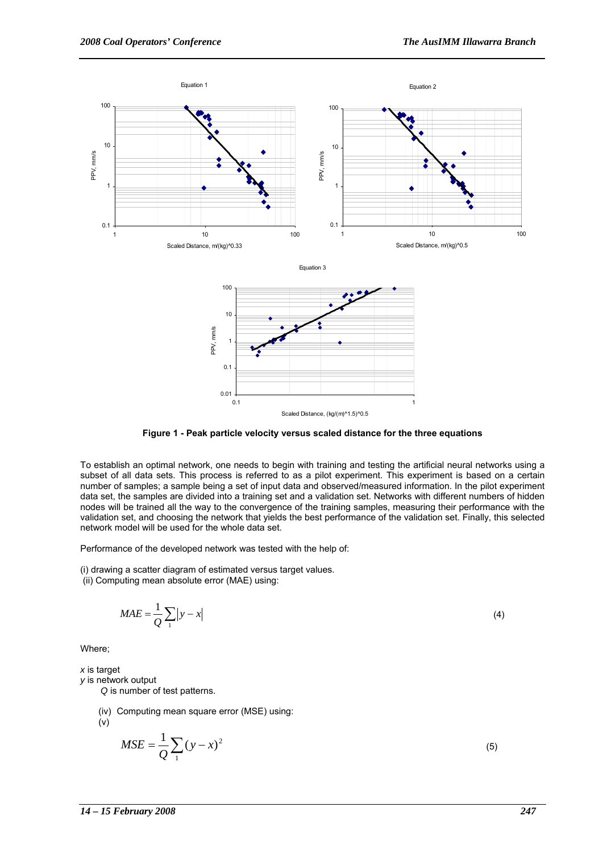



To establish an optimal network, one needs to begin with training and testing the artificial neural networks using a subset of all data sets. This process is referred to as a pilot experiment. This experiment is based on a certain number of samples; a sample being a set of input data and observed/measured information. In the pilot experiment data set, the samples are divided into a training set and a validation set. Networks with different numbers of hidden nodes will be trained all the way to the convergence of the training samples, measuring their performance with the validation set, and choosing the network that yields the best performance of the validation set. Finally, this selected network model will be used for the whole data set.

Performance of the developed network was tested with the help of:

(i) drawing a scatter diagram of estimated versus target values.

(ii) Computing mean absolute error (MAE) using:

$$
MAE = \frac{1}{Q} \sum_{1} |y - x|
$$
\n(4)

Where;

*x* is target

*y* is network output

 *Q* is number of test patterns.

(iv) Computing mean square error (MSE) using:

(v)

$$
MSE = \frac{1}{Q} \sum_{1} (y - x)^2
$$
 (5)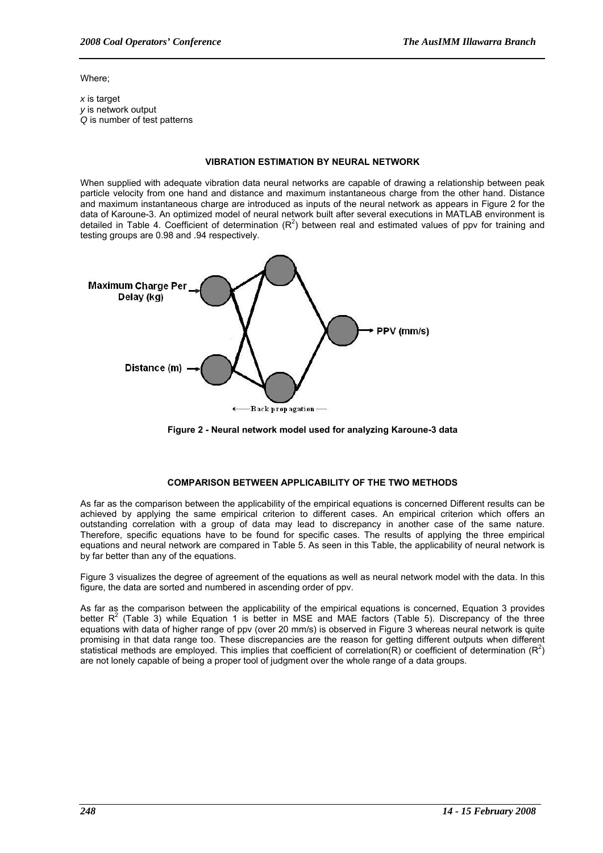Where;

*x* is target *y* is network output *Q* is number of test patterns

#### **VIBRATION ESTIMATION BY NEURAL NETWORK**

When supplied with adequate vibration data neural networks are capable of drawing a relationship between peak particle velocity from one hand and distance and maximum instantaneous charge from the other hand. Distance and maximum instantaneous charge are introduced as inputs of the neural network as appears in Figure 2 for the data of Karoune-3. An optimized model of neural network built after several executions in MATLAB environment is detailed in Table 4. Coefficient of determination  $(R^2)$  between real and estimated values of ppv for training and testing groups are 0.98 and .94 respectively.



**Figure 2 - Neural network model used for analyzing Karoune-3 data** 

# **COMPARISON BETWEEN APPLICABILITY OF THE TWO METHODS**

As far as the comparison between the applicability of the empirical equations is concerned Different results can be achieved by applying the same empirical criterion to different cases. An empirical criterion which offers an outstanding correlation with a group of data may lead to discrepancy in another case of the same nature. Therefore, specific equations have to be found for specific cases. The results of applying the three empirical equations and neural network are compared in Table 5. As seen in this Table, the applicability of neural network is by far better than any of the equations.

Figure 3 visualizes the degree of agreement of the equations as well as neural network model with the data. In this figure, the data are sorted and numbered in ascending order of ppv.

As far as the comparison between the applicability of the empirical equations is concerned, Equation 3 provides better  $R^2$  (Table 3) while Equation 1 is better in MSE and MAE factors (Table 5). Discrepancy of the three equations with data of higher range of ppv (over 20 mm/s) is observed in Figure 3 whereas neural network is quite promising in that data range too. These discrepancies are the reason for getting different outputs when different statistical methods are employed. This implies that coefficient of correlation (R) or coefficient of determination (R<sup>2</sup>) are not lonely capable of being a proper tool of judgment over the whole range of a data groups.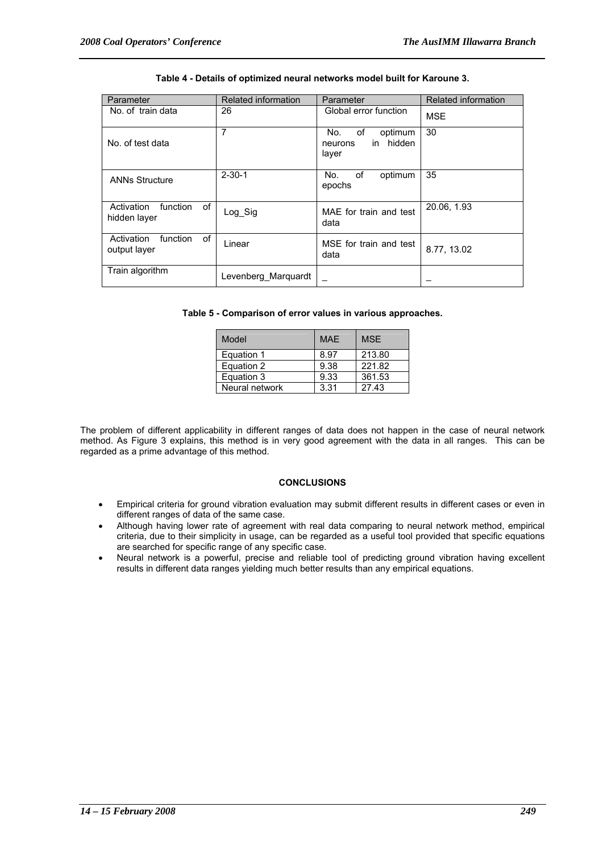| Parameter                                    | <b>Related information</b> | Parameter                                                 | Related information |
|----------------------------------------------|----------------------------|-----------------------------------------------------------|---------------------|
| No. of train data                            | 26                         | Global error function                                     | <b>MSE</b>          |
| No. of test data                             | 7                          | οf<br>No.<br>optimum<br>hidden<br>in.<br>neurons<br>layer | 30                  |
| <b>ANNs Structure</b>                        | $2 - 30 - 1$               | οf<br>optimum<br>No.<br>epochs                            | 35                  |
| of<br>Activation<br>function<br>hidden layer | Log_Sig                    | MAE for train and test<br>data                            | 20.06, 1.93         |
| Activation<br>of<br>function<br>output layer | Linear                     | MSE for train and test<br>data                            | 8.77, 13.02         |
| Train algorithm                              | Levenberg_Marquardt        |                                                           |                     |

#### **Table 4 - Details of optimized neural networks model built for Karoune 3.**

|  |  | Table 5 - Comparison of error values in various approaches. |
|--|--|-------------------------------------------------------------|
|--|--|-------------------------------------------------------------|

| Model          | <b>MAE</b> | <b>MSF</b> |
|----------------|------------|------------|
| Equation 1     | 8.97       | 213.80     |
| Equation 2     | 9.38       | 221.82     |
| Equation 3     | 9.33       | 361.53     |
| Neural network | 3.31       | 27.43      |

The problem of different applicability in different ranges of data does not happen in the case of neural network method. As Figure 3 explains, this method is in very good agreement with the data in all ranges. This can be regarded as a prime advantage of this method.

# **CONCLUSIONS**

- Empirical criteria for ground vibration evaluation may submit different results in different cases or even in different ranges of data of the same case.
- Although having lower rate of agreement with real data comparing to neural network method, empirical criteria, due to their simplicity in usage, can be regarded as a useful tool provided that specific equations are searched for specific range of any specific case.
- Neural network is a powerful, precise and reliable tool of predicting ground vibration having excellent results in different data ranges yielding much better results than any empirical equations.